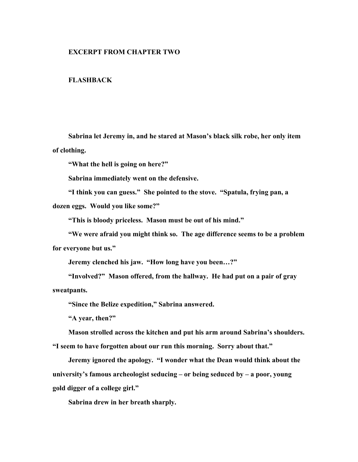## **EXCERPT FROM CHAPTER TWO**

## **FLASHBACK**

**Sabrina let Jeremy in, and he stared at Mason's black silk robe, her only item of clothing.** 

**"What the hell is going on here?"** 

**Sabrina immediately went on the defensive.** 

**"I think you can guess." She pointed to the stove. "Spatula, frying pan, a dozen eggs. Would you like some?"** 

**"This is bloody priceless. Mason must be out of his mind."** 

**"We were afraid you might think so. The age difference seems to be a problem for everyone but us."** 

**Jeremy clenched his jaw. "How long have you been…?"** 

**"Involved?" Mason offered, from the hallway. He had put on a pair of gray sweatpants.** 

**"Since the Belize expedition," Sabrina answered.** 

**"A year, then?"** 

**Mason strolled across the kitchen and put his arm around Sabrina's shoulders.** 

**"I seem to have forgotten about our run this morning. Sorry about that."** 

**Jeremy ignored the apology. "I wonder what the Dean would think about the university's famous archeologist seducing – or being seduced by – a poor, young gold digger of a college girl."** 

**Sabrina drew in her breath sharply.**